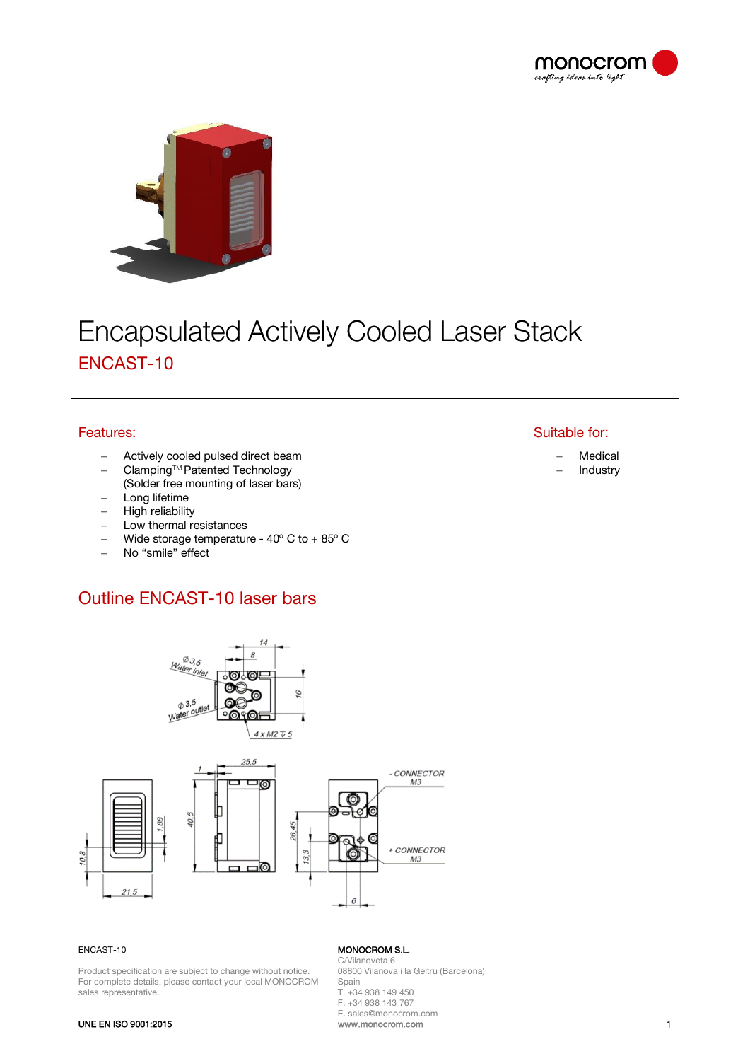



# **Encapsulated Actively Cooled Laser Stack** ENCAST-10

### Features:

- Actively cooled pulsed direct beam
- − ClampingTM Patented Technology
- (Solder free mounting of laser bars)
- Long lifetime
- High reliability
- Low thermal resistances
- − Wide storage temperature 40º C to + 85º C
- − No "smile" effect

# Outline ENCAST-10 laser bars



#### ENCAST-10

Product specification are subject to change without notice. For complete details, please contact your local MONOCROM sales representative.

#### MONOCROM S.L.

C/Vilanoveta 6 08800 Vilanova i la Geltrù (Barcelona) Spain T. +34 938 149 450 F. +34 938 143 767 E. sales@monocrom.com

www.monocrom.com 1

## Suitable for:

− Medical

− Industry